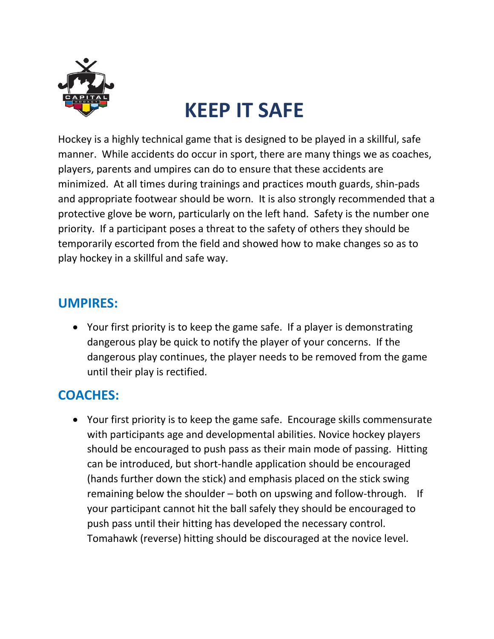

## **KEEP IT SAFE**

Hockey is a highly technical game that is designed to be played in a skillful, safe manner. While accidents do occur in sport, there are many things we as coaches, players, parents and umpires can do to ensure that these accidents are minimized. At all times during trainings and practices mouth guards, shin-pads and appropriate footwear should be worn. It is also strongly recommended that a protective glove be worn, particularly on the left hand. Safety is the number one priority. If a participant poses a threat to the safety of others they should be temporarily escorted from the field and showed how to make changes so as to play hockey in a skillful and safe way.

## **UMPIRES:**

• Your first priority is to keep the game safe. If a player is demonstrating dangerous play be quick to notify the player of your concerns. If the dangerous play continues, the player needs to be removed from the game until their play is rectified.

## **COACHES:**

• Your first priority is to keep the game safe. Encourage skills commensurate with participants age and developmental abilities. Novice hockey players should be encouraged to push pass as their main mode of passing. Hitting can be introduced, but short-handle application should be encouraged (hands further down the stick) and emphasis placed on the stick swing remaining below the shoulder – both on upswing and follow-through. If your participant cannot hit the ball safely they should be encouraged to push pass until their hitting has developed the necessary control. Tomahawk (reverse) hitting should be discouraged at the novice level.